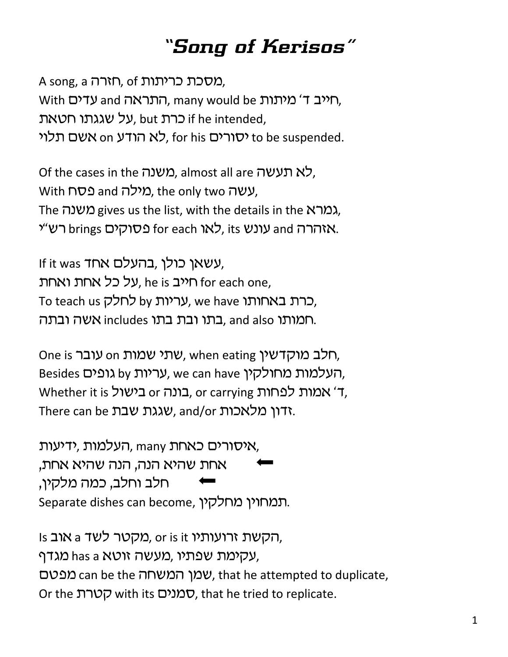## *"Song of Kerisos"*

A song, a הארה, of ,תורת A song, a With שריב ד' מיתות many would be פארנות, ,על שגגתו חטאת if he intended, לא הודע no אשם תלוי, for his לא האשם תלוי $\sigma$  to be suspended.

Of the cases in the משנה, almost all are לא תעשה, With **שטה** and כאילה, the only two עשה, The משנה gives us the list, with the details in the *גמרא* רש"י brings בסוקים) for each געונש, its אזהרה and רש

If it was יעשאן כולן, בהעלם אחד, על כל אחת ואחת he is חייב, he is האחת To teach us כרת באחותו, we have כרת באחותו, תמותו and also ,בתו ובת בתו includes המותו .

One is רלב מוקדשין, when eating שתי שמות one is חלב, Besides העלמות מחולקין, we can have העלמות מחולקין, Whether it is בונה or כונה, or carrying ה' אמות לפחות, There can be שגגת שבת, and/or הדון מלאכות.

, איסורים כאחת many העלמות, *ידיעות* אחת שהיא הנה, הנה שהיא אחת, חלב וחלב, כמה מלקין, Separate dishes can become, תמחוין מחלקין.

Is אוב a הקשת זרועותיו, or is it הקשת עקימת שפתיו, מעשה זוטא has a מגדף, מפטם, that he attempted to duplicate, שמן המשחה can be the attem Or the קטרת with its סמנים, that he tried to replicate.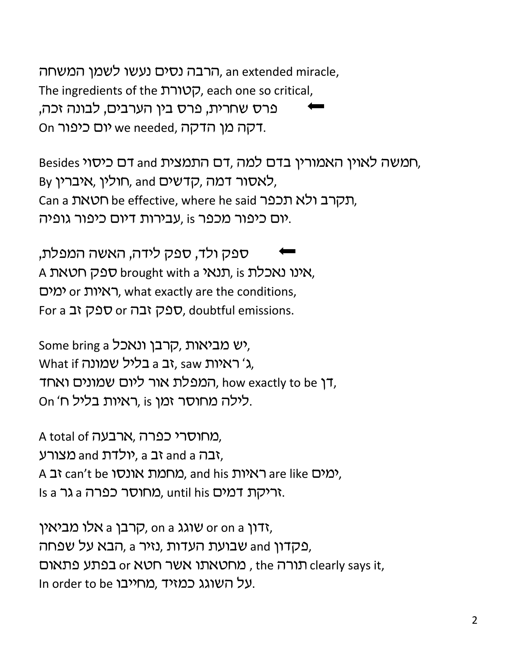הרבה נסים נעשו לשמן המשחה, an extended miracle, The ingredients of the קטורת, each one so critical, 'פרס שחרית, פרס בין הערבים, לבונה זכה, On יום כיפור we needed, דקה מן הדקה.

Besides רומשה לאוין האמורין בדם למה ,דם התמצית and דם כיסוי, By לאסור דמה, קדשים, and חולין, איברין, Can a תקרב ולא תכפר, where he said תקרב ולא תכפר, יום כיפור מכפר is ,עבירות דיום כיפור גופיה.

ספק ולד, ספק לידה, האשה המפלת, A אינו נאכלת brought with a תנאי, is ,אינו נאכלת ימים or האיות, what exactly are the conditions, For a רבה or ספק זבה, doubtful emissions.

some bring a קרבן ונאכל, What if יראיות a בליל שמונה, saw ג' המפלת אור ליום שמונים ואחד, how exactly to be ה On 'n לילה מחוסר זמן, is ראיות בליל

A total of כמחוסרי כפרה, ארבעה, יבה and a יב and a יב, and a מצורע, A כמים are like ראיות, and his האיות, are like האיות, Is a וריקת דמים. until his מחוסר כפרה a גר.

ידון or on a שוגג a on a קרבן, on a זדון, פקדון and שבועת העדות ,נזיר a, הבא על שפחה, תורה the מחטאתו אשר חטא or תורה, the תורה הנואום In order to be על השוגג כמזיד.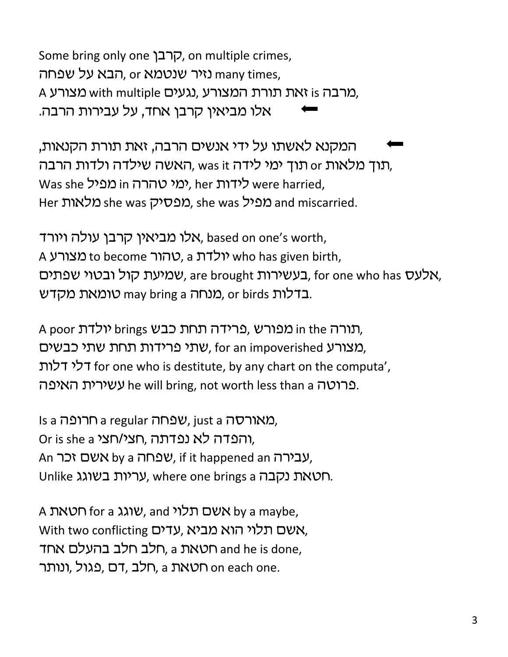Some bring only one קרבן, on multiple crimes, נזיר שנטמא or הבא על שפחה many times, A מרבה is זאת תורת המצורע, נגעים with multiple מרבה, אלו מביאין קרבן אחד, על עבירות הרבה.

המקנא לאשתו על ידי אנשים הרבה, זאת תורת הקנאות, תוך מלאות or תוך ימי לידה was it ,האשה שילדה ולדות הרבה, Was she לידות, her ימי טהרה in מפיל, her yos she y Her מלאות she was מפיל, she was מפיל and miscarried.

אלו מביאין קרבן עולה ויורד, based on one's worth, A נצורע to become יולדת, a יולדת who has given birth, בעשירות ומיעת קול ובטוי שפתים, for one who has  $y$ אלעס, for one who has  $x$ בדלות or birds ,מנחה a may bring a כומאת מקדש.

A poor הנורה brings ותורה מפורש, פרידה תחת כבש, שתי פרידות תחת שתי כבשים, for an impoverished שת לי דלות for one who is destitute, by any chart on the computa', צירית האיפה. he will bring, not worth less than a פרוטה

Is a חרופה. iust a שפחה a regular שמח Or is she a יהפדה לא נפדתה, חצי/חצי, An אשם זכר, if it happened an עבירה, Unlike עריות בשוגג, where one brings a תטאת נקבה.

A אשם תלוי, and a משם מלוי, and huk hy a maybe, With two conflicting עדים, עדים תלוי הוא מביא, חלב תלב בהעלם אחד, a האת and he is done, רלב ,דם, פגול, ונותר, a תואת on each one.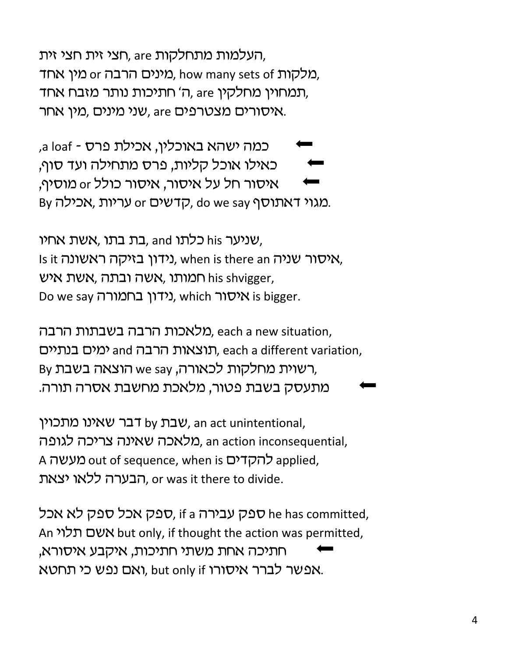העלמות מתחלקות are ,חצי זית חצי זית, מלקות how many sets of ,מלקות ,how many sets of . תמחוין מחלקין are ,ה' חתיכות נותר מזבח אחד, שני מינים ,מין אחר bיn, are איסורים מצטרפים,

,a loaf - כמה ישהא באוכלין, אכילת פרס כאילו אוכל קליות, פרס מתחילה ועד סוף, איסור חל על איסור, איסור כולל or מוסיף, By כדשים or כאריות, do we say האתוסף.

שניער his כלתו and, בת בתו ,אשת אחיו, Is it וידון בזיקה ראשונה, when is there an is there an is there an איש his shvigger, המותו, אשה ובתה Do we say נידון בחמורה, which ויסור, we say

מלאכות הרבה בשבתות הרבה, each a new situation, תוצאות הרבה and למים בנתיים, each a different variation, By רשוית מחלקות לכאורה, we say הוצאה בשבת, מתעסק בשבת פטור, מלאכת מחשבת אסרה תורה.

שבת by שבת by שבת an act unintentional, מלאכה שאינה צריכה לגופה, an action inconsequential, A מעשה out of sequence, when is להקדים הבערה ללאו יצאת, or was it there to divide.

עבירה if a ספק עבירה, if a ספק עבירה, if a ספק לא אכל, if a ספק ש An אשם תלוי but only, if thought the action was permitted, חתיכה אחת משתי חתיכות, איקבע איסורא, אפשר לברר איסורו but only if ואם נפש כי תחטא.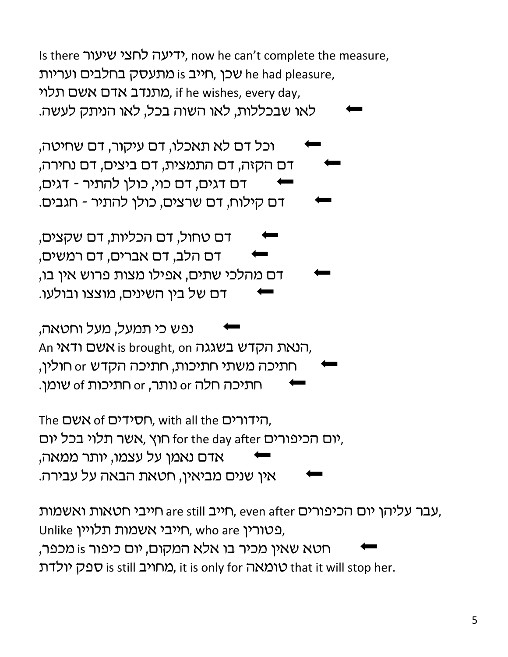Is there ידיעה לחצי שיעור, now he can't complete the measure, שכן, חייב is מתעסק בחלבים ועריות he had pleasure, מתנדב אדם אשם תלוי. if he wishes, every day, לאו שבכללות, לאו השוה בכל, לאו הניתק לעשה.

וכל דם לא תאכלו, דם עיקור, דם שחיטה, דם הקזה, דם התמצית, דם ביצים, דם נחירה, דם דגים, דם כוי, כולן להתיר - דגים, דם קילוח, דם שרצים, כולן להתיר - חגבים.

דם טחול, דם הכליות, דם שקצים, דם הלב, דם אברים, דם רמשים, דם מהלכי שתים, אפילו מצות פרוש אין בו, דם של בין השינים, מוצצו ובולעו.

נפש כי תמעל, מעל וחטאה, An אשם ודאי, is brought, on הנאת הקדש בשגגה, חתיכה משתי חתיכות, חתיכה הקדש or חולין, חתיכה חלה or נותר, or חתיכות of שומן.

The הידורים, with all the הידורים, יום הכיפורים for the day after חוץ, אשר תלוי בכל יום, אדם נאמן על עצמו, יותר ממאה, אין שנים מביאין, חטאת הבאה על עבירה.

רייב וחייב are still חייב והכיפורים, even after ואשמות, אבר עליהן יום הכיפורים, Unlike ריבי אשמות תלויין, who are חייבי חטא שאין מכיר בו אלא המקום, יום כיפור is מכפר, מחויב is still טומאה), it is only for טומאה that it will stop her.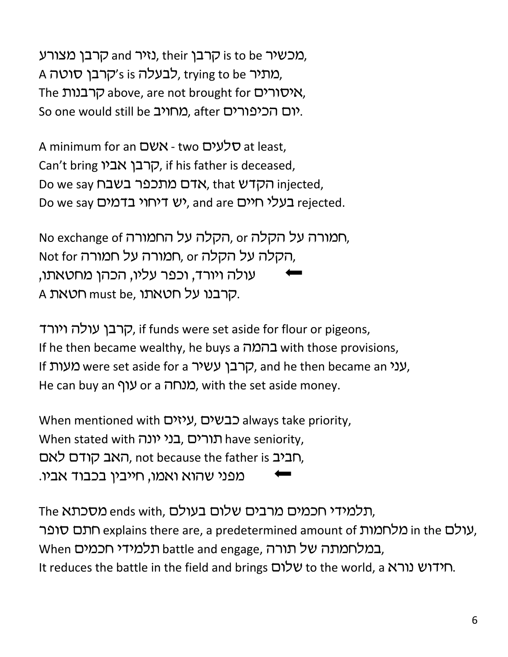מכשיר is to be קרבן, their נזיר and מכשיר is to be מכשיר. A כאתיר, trying to be כבעלה s is 'קרבן סוטה, The קרבנות above, are not brought for איסורים, So one would still be מחויב, after one would still be

A minimum for an שלעים - two לעים at least, Can't bring קרבן אביו, if his father is deceased, Do we say הקדש, that Wתכפר בשבח injected, Do we say *בעלי* חיים, and are יש דיחוי בדמים, and are h

No exchange of הקלה על החמורה, or תמורה על הקלה, Not for הקלה על הקלה not for הקלה על י עולה ויורד, וכפר עליו, הכהן מחטאתו, A קרבנו על חטאתו.

קרבן עולה ויורד, if funds were set aside for flour or pigeons, If he then became wealthy, he buys a נהמה with those provisions, If קרבן עשיר were set aside for a קרבן עשיר, and he then became an  $\mu$ , He can buy an עוף or a כערחה, with the set aside money.

When mentioned with שיזים, שעאפא always take priority, When stated with תורים, בני יונה have seniority, חביב m, האב קודם לאם, not because the father is האב מפני שהוא ואמו, חייבין בכבוד אביו.

The מסכתא ends with, תלמידי חכמים מרבים שלום בעולם, עולם in the מלחמות explains there are, a predetermined amount of ,עולם Eמלחמתה של תורה, battle and engage תלמידי חכמים, It reduces the battle in the field and brings שלום to the world, a htreduces the battle in the field and brings